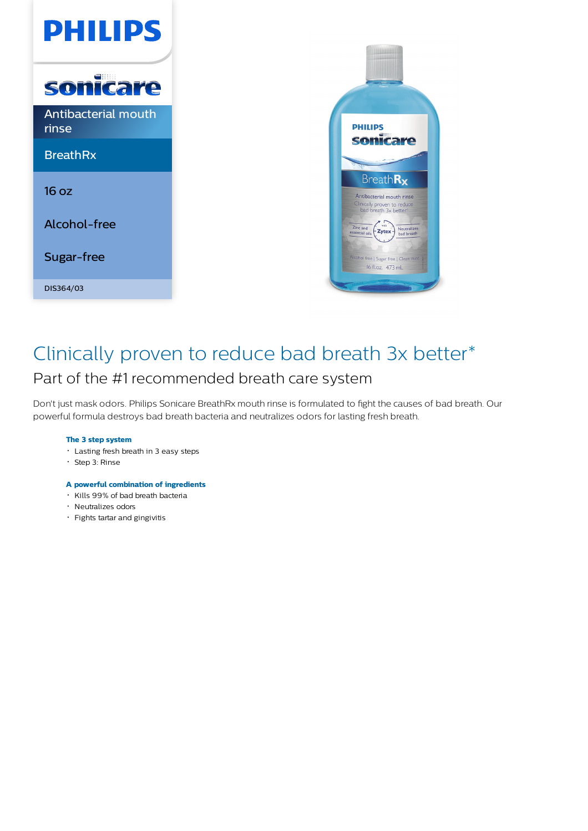



## Clinically proven to reduce bad breath 3x better\* Part of the #1 recommended breath care system

Don't just mask odors. Philips Sonicare BreathRx mouth rinse is formulated to fight the causes of bad breath. Our powerful formula destroys bad breath bacteria and neutralizes odors for lasting fresh breath.

#### **The 3 step system**

- Lasting fresh breath in 3 easy steps
- Step 3: Rinse
- **A powerful combination of ingredients**
- Kills 99% of bad breath bacteria
- · Neutralizes odors
- Fights tartar and gingivitis